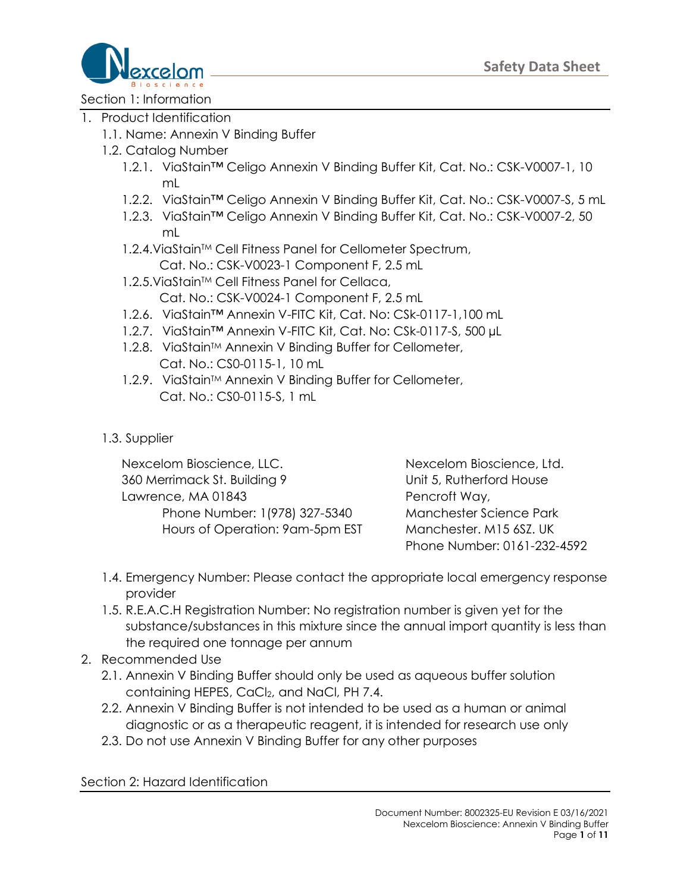

Section 1: Information

- 1. Product Identification
	- 1.1. Name: Annexin V Binding Buffer
	- 1.2. Catalog Number
		- 1.2.1. ViaStain™ Celigo Annexin V Binding Buffer Kit, Cat. No.: CSK-V0007-1, 10 mL
		- 1.2.2. ViaStain™ Celigo Annexin V Binding Buffer Kit, Cat. No.: CSK-V0007-S, 5 mL
		- 1.2.3. ViaStain™ Celigo Annexin V Binding Buffer Kit, Cat. No.: CSK-V0007-2, 50 mL
		- 1.2.4. ViaStain™ Cell Fitness Panel for Cellometer Spectrum,
			- Cat. No.: CSK-V0023-1 Component F, 2.5 mL
		- 1.2.5. ViaStain™ Cell Fitness Panel for Cellaca, Cat. No.: CSK-V0024-1 Component F, 2.5 mL
		- 1.2.6. ViaStain™ Annexin V-FITC Kit, Cat. No: CSk-0117-1,100 mL
		- 1.2.7. ViaStain™ Annexin V-FITC Kit, Cat. No: CSk-0117-S, 500 µL
		- 1.2.8. ViaStain™ Annexin V Binding Buffer for Cellometer, Cat. No.: CS0-0115-1, 10 mL
		- 1.2.9. ViaStain™ Annexin V Binding Buffer for Cellometer, Cat. No.: CS0-0115-S, 1 mL
	- 1.3. Supplier

Nexcelom Bioscience, LLC. Nexcelom Bioscience, Ltd. 360 Merrimack St. Building 9 Unit 5, Rutherford House Lawrence, MA 01843 Pencroft Way, Phone Number: 1(978) 327-5340 Manchester Science Park Hours of Operation: 9am-5pm EST Manchester. M15 6SZ. UK

Phone Number: 0161-232-4592

- 1.4. Emergency Number: Please contact the appropriate local emergency response provider
- 1.5. R.E.A.C.H Registration Number: No registration number is given yet for the substance/substances in this mixture since the annual import quantity is less than the required one tonnage per annum
- 2. Recommended Use
	- 2.1. Annexin V Binding Buffer should only be used as aqueous buffer solution containing HEPES, CaCl<sub>2</sub>, and NaCl, PH 7.4.
	- 2.2. Annexin V Binding Buffer is not intended to be used as a human or animal diagnostic or as a therapeutic reagent, it is intended for research use only
	- 2.3. Do not use Annexin V Binding Buffer for any other purposes

Section 2: Hazard Identification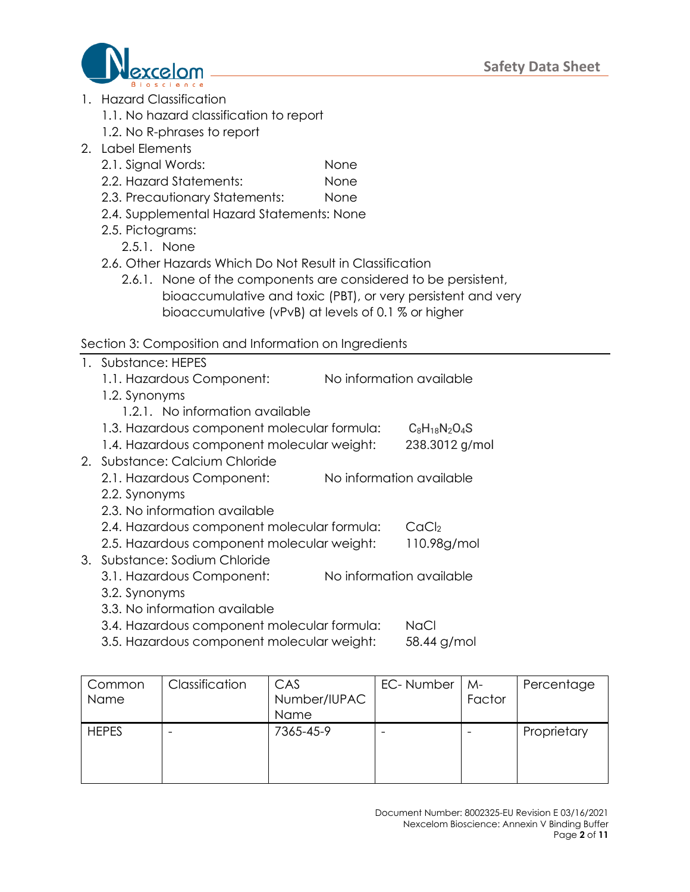

- 1. Hazard Classification
	- 1.1. No hazard classification to report
	- 1.2. No R-phrases to report
- 2. Label Elements
	- 2.1. Signal Words: None
	- 2.2. Hazard Statements: None
	- 2.3. Precautionary Statements: None
	- 2.4. Supplemental Hazard Statements: None
	- 2.5. Pictograms:
		- 2.5.1. None
	- 2.6. Other Hazards Which Do Not Result in Classification
		- 2.6.1. None of the components are considered to be persistent, bioaccumulative and toxic (PBT), or very persistent and very bioaccumulative (vPvB) at levels of 0.1 % or higher

### Section 3: Composition and Information on Ingredients

- 1. Substance: HEPES
	- 1.1. Hazardous Component: No information available
	- 1.2. Synonyms
		- 1.2.1. No information available
	- 1.3. Hazardous component molecular formula:  $C_8H_{18}N_2O_4S$
	- 1.4. Hazardous component molecular weight: 238.3012 g/mol
- 2. Substance: Calcium Chloride
	- 2.1. Hazardous Component: No information available
	- 2.2. Synonyms
	- 2.3. No information available
	- 2.4. Hazardous component molecular formula: CaCl<sub>2</sub>
	- 2.5. Hazardous component molecular weight: 110.98g/mol
- 3. Substance: Sodium Chloride
	- 3.1. Hazardous Component: No information available
	- 3.2. Synonyms
	- 3.3. No information available
	- 3.4. Hazardous component molecular formula: NaCl
	- 3.5. Hazardous component molecular weight: 58.44 g/mol

| Common<br><b>Name</b> | Classification | CAS<br>Number/IUPAC<br>Name | EC-Number | M-<br>Factor | Percentage  |
|-----------------------|----------------|-----------------------------|-----------|--------------|-------------|
| <b>HEPES</b>          |                | 7365-45-9                   |           |              | Proprietary |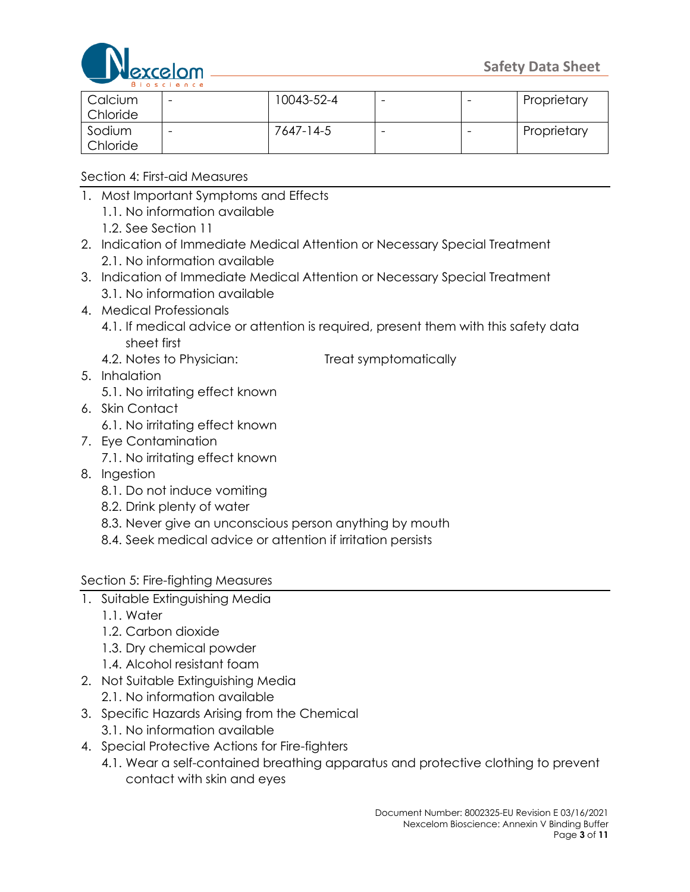

|          | <b>DIUSCI 6 II L 6</b> |            |  |             |
|----------|------------------------|------------|--|-------------|
| Calcium  | -                      | 10043-52-4 |  | Proprietary |
| Chloride |                        |            |  |             |
| Sodium   |                        | 7647-14-5  |  | Proprietary |
| Chloride |                        |            |  |             |

Section 4: First-aid Measures

- 1. Most Important Symptoms and Effects 1.1. No information available
	- 1.2. See Section 11
- 2. Indication of Immediate Medical Attention or Necessary Special Treatment 2.1. No information available
- 3. Indication of Immediate Medical Attention or Necessary Special Treatment 3.1. No information available
- 4. Medical Professionals
	- 4.1. If medical advice or attention is required, present them with this safety data sheet first
	-

4.2. Notes to Physician: Treat symptomatically

- 5. Inhalation
	- 5.1. No irritating effect known
- 6. Skin Contact
	- 6.1. No irritating effect known
- 7. Eye Contamination
	- 7.1. No irritating effect known
- 8. Ingestion
	- 8.1. Do not induce vomiting
	- 8.2. Drink plenty of water
	- 8.3. Never give an unconscious person anything by mouth
	- 8.4. Seek medical advice or attention if irritation persists

### Section 5: Fire-fighting Measures

- 1. Suitable Extinguishing Media
	- 1.1. Water
	- 1.2. Carbon dioxide
	- 1.3. Dry chemical powder
	- 1.4. Alcohol resistant foam
- 2. Not Suitable Extinguishing Media
	- 2.1. No information available
- 3. Specific Hazards Arising from the Chemical
	- 3.1. No information available
- 4. Special Protective Actions for Fire-fighters
	- 4.1. Wear a self-contained breathing apparatus and protective clothing to prevent contact with skin and eyes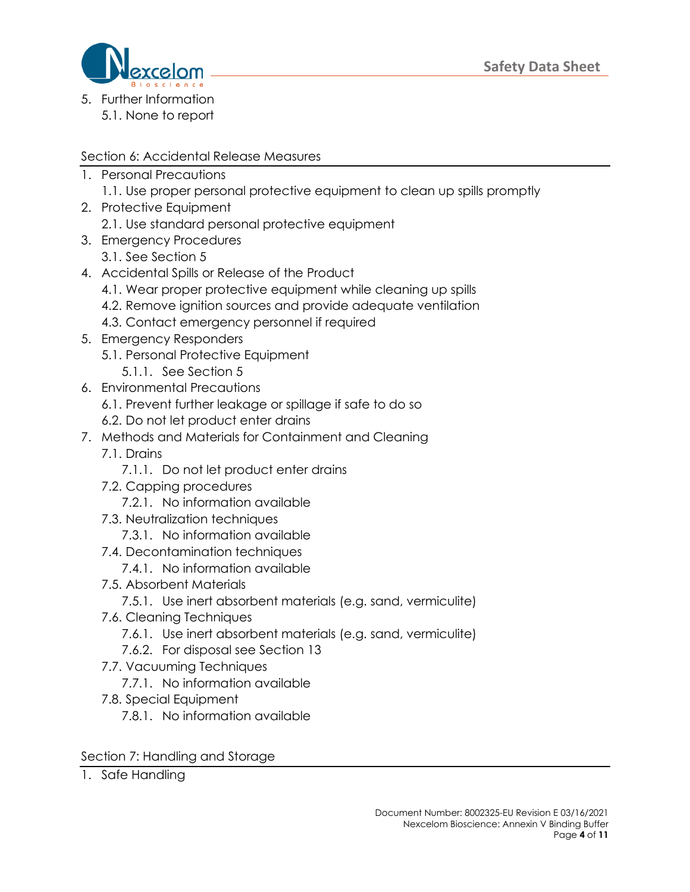

5. Further Information 5.1. None to report

### Section 6: Accidental Release Measures

- 1. Personal Precautions
	- 1.1. Use proper personal protective equipment to clean up spills promptly
- 2. Protective Equipment
	- 2.1. Use standard personal protective equipment
- 3. Emergency Procedures
	- 3.1. See Section 5
- 4. Accidental Spills or Release of the Product
	- 4.1. Wear proper protective equipment while cleaning up spills
	- 4.2. Remove ignition sources and provide adequate ventilation
	- 4.3. Contact emergency personnel if required
- 5. Emergency Responders
	- 5.1. Personal Protective Equipment
		- 5.1.1. See Section 5
- 6. Environmental Precautions
	- 6.1. Prevent further leakage or spillage if safe to do so
	- 6.2. Do not let product enter drains
- 7. Methods and Materials for Containment and Cleaning
	- 7.1. Drains
		- 7.1.1. Do not let product enter drains
	- 7.2. Capping procedures
		- 7.2.1. No information available
	- 7.3. Neutralization techniques
		- 7.3.1. No information available
	- 7.4. Decontamination techniques
		- 7.4.1. No information available
	- 7.5. Absorbent Materials
		- 7.5.1. Use inert absorbent materials (e.g. sand, vermiculite)
	- 7.6. Cleaning Techniques
		- 7.6.1. Use inert absorbent materials (e.g. sand, vermiculite)
		- 7.6.2. For disposal see Section 13
	- 7.7. Vacuuming Techniques
		- 7.7.1. No information available
	- 7.8. Special Equipment
		- 7.8.1. No information available

### Section 7: Handling and Storage

1. Safe Handling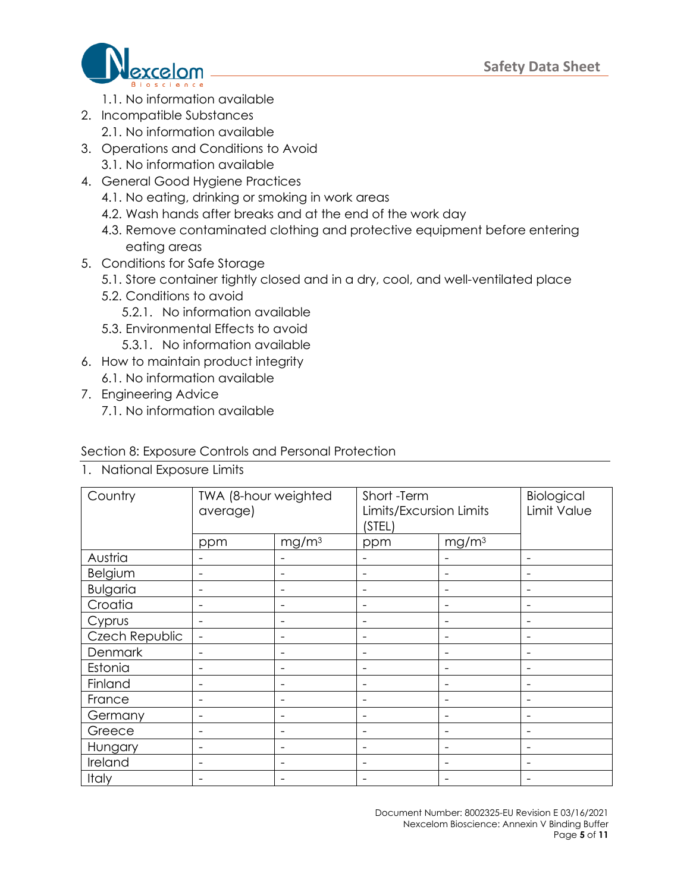

- 1.1. No information available
- 2. Incompatible Substances 2.1. No information available
- 3. Operations and Conditions to Avoid 3.1. No information available
- 4. General Good Hygiene Practices
	- 4.1. No eating, drinking or smoking in work areas
	- 4.2. Wash hands after breaks and at the end of the work day
	- 4.3. Remove contaminated clothing and protective equipment before entering eating areas
- 5. Conditions for Safe Storage
	- 5.1. Store container tightly closed and in a dry, cool, and well-ventilated place
	- 5.2. Conditions to avoid
		- 5.2.1. No information available
	- 5.3. Environmental Effects to avoid
		- 5.3.1. No information available
- 6. How to maintain product integrity 6.1. No information available
- 7. Engineering Advice
	- 7.1. No information available

#### Section 8: Exposure Controls and Personal Protection

|  |  | 1. National Exposure Limits |  |
|--|--|-----------------------------|--|
|--|--|-----------------------------|--|

| Country         | TWA (8-hour weighted<br>average) |                          | Short-Term<br>Limits/Excursion Limits<br>(STEL) |                              | Biological<br>Limit Value |
|-----------------|----------------------------------|--------------------------|-------------------------------------------------|------------------------------|---------------------------|
|                 | ppm                              | mg/m <sup>3</sup>        | ppm                                             | mg/m <sup>3</sup>            |                           |
| Austria         |                                  |                          |                                                 |                              |                           |
| Belgium         |                                  |                          |                                                 |                              |                           |
| <b>Bulgaria</b> |                                  |                          |                                                 |                              |                           |
| Croatia         |                                  |                          |                                                 |                              |                           |
| Cyprus          |                                  | $\overline{\phantom{0}}$ |                                                 |                              |                           |
| Czech Republic  | $\overline{\phantom{a}}$         | -                        |                                                 |                              |                           |
| Denmark         |                                  | $\overline{\phantom{0}}$ |                                                 |                              |                           |
| Estonia         |                                  | $\overline{\phantom{0}}$ |                                                 | $\qquad \qquad \blacksquare$ |                           |
| Finland         |                                  | ۰                        |                                                 |                              |                           |
| France          |                                  |                          |                                                 |                              |                           |
| Germany         |                                  |                          |                                                 |                              |                           |
| Greece          |                                  |                          |                                                 |                              |                           |
| Hungary         |                                  |                          |                                                 |                              |                           |
| Ireland         |                                  | $\overline{\phantom{0}}$ |                                                 |                              |                           |
| Italy           | $\overline{\phantom{0}}$         | -                        |                                                 |                              |                           |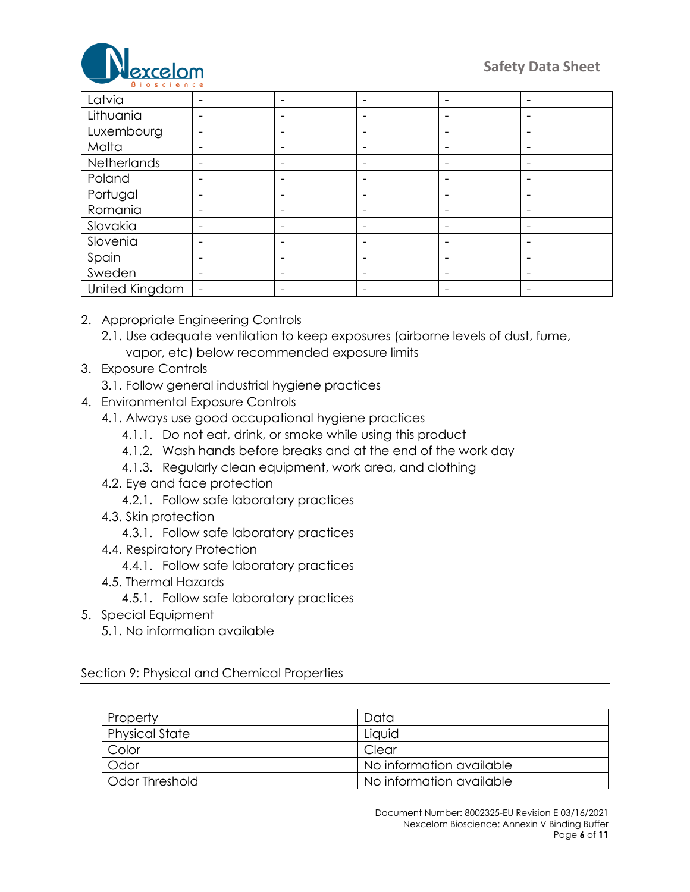

| Latvia         | $\overline{\phantom{a}}$ | $\overline{\phantom{a}}$     |                          | $\overline{\phantom{a}}$ |                          |
|----------------|--------------------------|------------------------------|--------------------------|--------------------------|--------------------------|
| Lithuania      | $\overline{\phantom{a}}$ | $\overline{\phantom{a}}$     | $\overline{\phantom{a}}$ | $\overline{\phantom{a}}$ |                          |
| Luxembourg     | $\overline{\phantom{a}}$ | $\overline{\phantom{a}}$     | $\overline{\phantom{a}}$ | $\overline{\phantom{a}}$ |                          |
| Malta          | $\overline{\phantom{a}}$ | $\overline{\phantom{a}}$     | $\overline{\phantom{a}}$ | $\overline{\phantom{a}}$ | -                        |
| Netherlands    | $\overline{\phantom{0}}$ | $\qquad \qquad \blacksquare$ | $\overline{\phantom{a}}$ | $\overline{\phantom{a}}$ | $\qquad \qquad$          |
| Poland         | $\overline{\phantom{0}}$ | $\overline{\phantom{a}}$     | $\overline{\phantom{a}}$ | $\overline{\phantom{a}}$ |                          |
| Portugal       | $\overline{\phantom{a}}$ | $\overline{\phantom{a}}$     |                          | $\overline{\phantom{a}}$ |                          |
| Romania        |                          | $\overline{\phantom{a}}$     |                          | $\overline{\phantom{a}}$ |                          |
| Slovakia       | $\overline{\phantom{0}}$ | $\overline{\phantom{a}}$     |                          |                          |                          |
| Slovenia       | $\overline{\phantom{a}}$ | $\overline{\phantom{a}}$     | $\overline{\phantom{0}}$ | $\overline{\phantom{a}}$ |                          |
| Spain          | $\overline{\phantom{a}}$ | $\overline{\phantom{a}}$     | $\overline{\phantom{0}}$ | $\overline{\phantom{a}}$ | $\overline{\phantom{a}}$ |
| Sweden         | $\overline{\phantom{0}}$ | $\overline{\phantom{a}}$     | $\overline{\phantom{a}}$ | $\overline{\phantom{a}}$ |                          |
| United Kingdom | $\overline{\phantom{a}}$ | $\overline{\phantom{a}}$     | $\overline{\phantom{a}}$ | $\overline{\phantom{a}}$ | $\overline{\phantom{a}}$ |

- 2. Appropriate Engineering Controls
	- 2.1. Use adequate ventilation to keep exposures (airborne levels of dust, fume, vapor, etc) below recommended exposure limits
- 3. Exposure Controls
	- 3.1. Follow general industrial hygiene practices
- 4. Environmental Exposure Controls
	- 4.1. Always use good occupational hygiene practices
		- 4.1.1. Do not eat, drink, or smoke while using this product
		- 4.1.2. Wash hands before breaks and at the end of the work day
		- 4.1.3. Regularly clean equipment, work area, and clothing
	- 4.2. Eye and face protection
		- 4.2.1. Follow safe laboratory practices
	- 4.3. Skin protection
		- 4.3.1. Follow safe laboratory practices
	- 4.4. Respiratory Protection
		- 4.4.1. Follow safe laboratory practices
	- 4.5. Thermal Hazards
		- 4.5.1. Follow safe laboratory practices
- 5. Special Equipment
	- 5.1. No information available

Section 9: Physical and Chemical Properties

| Property              | Data                     |
|-----------------------|--------------------------|
| <b>Physical State</b> | Liquid                   |
| Color                 | Clear                    |
| Odor                  | No information available |
| Odor Threshold        | No information available |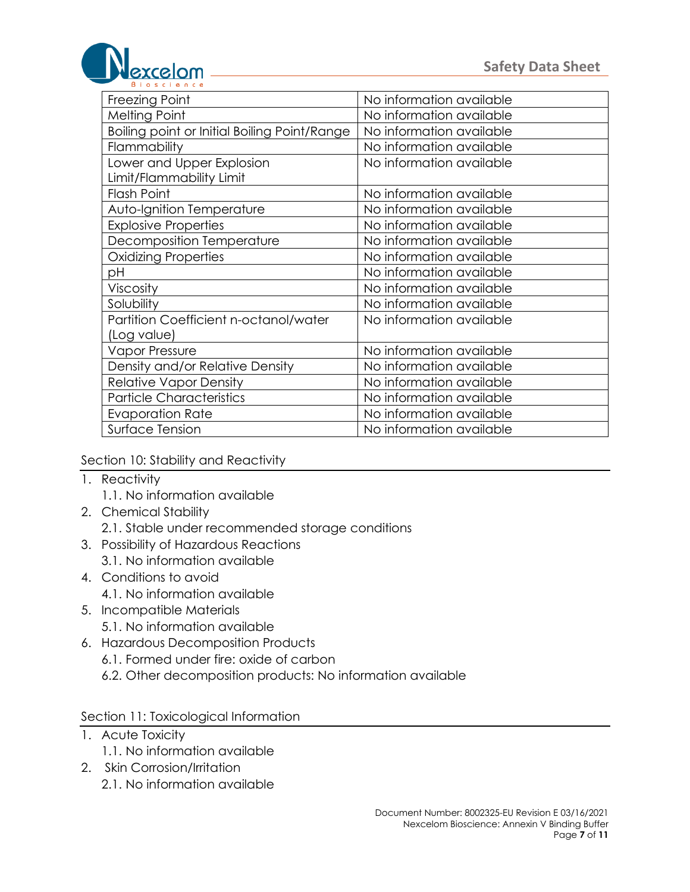

| Freezing Point                               | No information available |
|----------------------------------------------|--------------------------|
| <b>Melting Point</b>                         | No information available |
| Boiling point or Initial Boiling Point/Range | No information available |
| Flammability                                 | No information available |
| Lower and Upper Explosion                    | No information available |
| Limit/Flammability Limit                     |                          |
| <b>Flash Point</b>                           | No information available |
| Auto-Ignition Temperature                    | No information available |
| <b>Explosive Properties</b>                  | No information available |
| Decomposition Temperature                    | No information available |
| <b>Oxidizing Properties</b>                  | No information available |
| рH                                           | No information available |
| Viscosity                                    | No information available |
| Solubility                                   | No information available |
| Partition Coefficient n-octanol/water        | No information available |
| (Log value)                                  |                          |
| <b>Vapor Pressure</b>                        | No information available |
| Density and/or Relative Density              | No information available |
| <b>Relative Vapor Density</b>                | No information available |
| <b>Particle Characteristics</b>              | No information available |
| <b>Evaporation Rate</b>                      | No information available |
| Surface Tension                              | No information available |

#### Section 10: Stability and Reactivity

- 1. Reactivity
	- 1.1. No information available
- 2. Chemical Stability
	- 2.1. Stable under recommended storage conditions
- 3. Possibility of Hazardous Reactions
	- 3.1. No information available
- 4. Conditions to avoid
	- 4.1. No information available
- 5. Incompatible Materials
	- 5.1. No information available
- 6. Hazardous Decomposition Products
	- 6.1. Formed under fire: oxide of carbon
	- 6.2. Other decomposition products: No information available

#### Section 11: Toxicological Information

- 1. Acute Toxicity
	- 1.1. No information available
- 2. Skin Corrosion/Irritation 2.1. No information available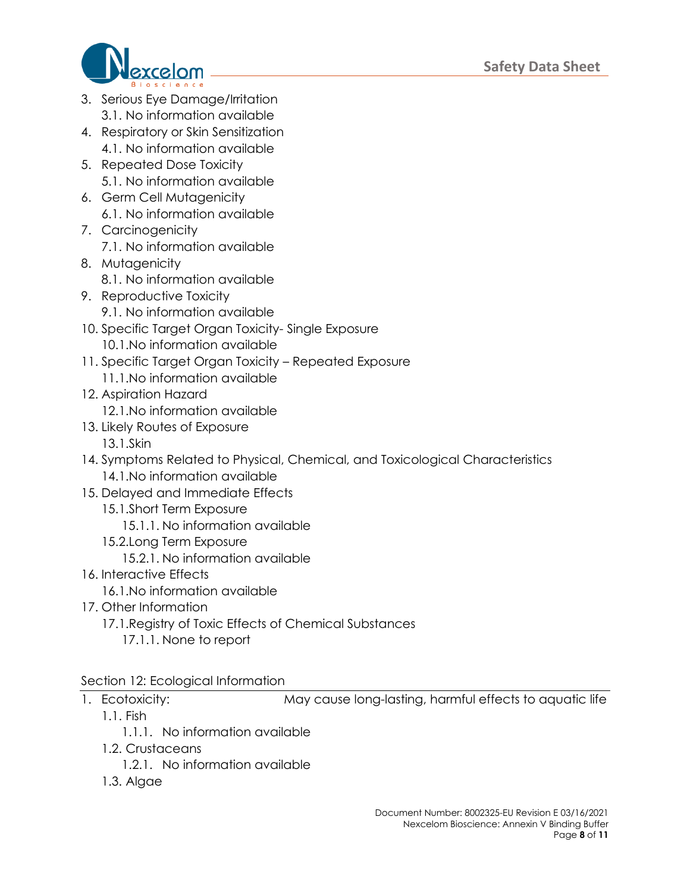

- 3. Serious Eye Damage/Irritation 3.1. No information available
- 4. Respiratory or Skin Sensitization 4.1. No information available
- 5. Repeated Dose Toxicity 5.1. No information available
- 6. Germ Cell Mutagenicity 6.1. No information available
- 7. Carcinogenicity 7.1. No information available
- 8. Mutagenicity 8.1. No information available
- 9. Reproductive Toxicity
	- 9.1. No information available
- 10. Specific Target Organ Toxicity- Single Exposure
	- 10.1.No information available
- 11. Specific Target Organ Toxicity Repeated Exposure
	- 11.1.No information available
- 12. Aspiration Hazard
	- 12.1.No information available
- 13. Likely Routes of Exposure
	- 13.1.Skin
- 14. Symptoms Related to Physical, Chemical, and Toxicological Characteristics 14.1.No information available
- 15. Delayed and Immediate Effects
	- 15.1.Short Term Exposure
		- 15.1.1. No information available
	- 15.2.Long Term Exposure
		- 15.2.1. No information available
- 16. Interactive Effects
	- 16.1.No information available
- 17. Other Information
	- 17.1.Registry of Toxic Effects of Chemical Substances
		- 17.1.1. None to report

# Section 12: Ecological Information

1. Ecotoxicity: May cause long-lasting, harmful effects to aquatic life

- 1.1. Fish
	- 1.1.1. No information available
- 1.2. Crustaceans
	- 1.2.1. No information available
- 1.3. Algae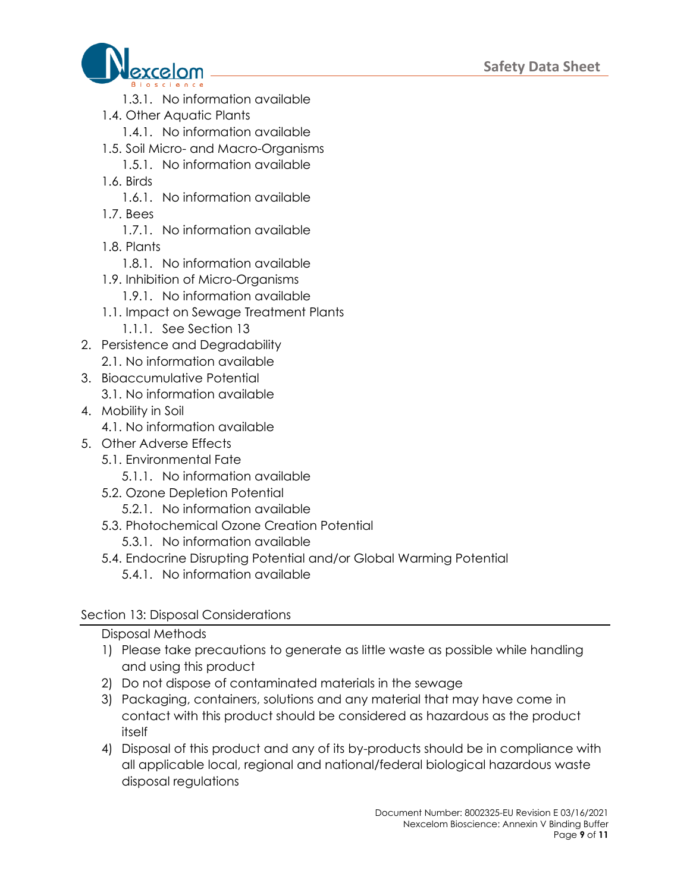

- 1.3.1. No information available
- 1.4. Other Aquatic Plants
	- 1.4.1. No information available
- 1.5. Soil Micro- and Macro-Organisms
- 1.5.1. No information available
- 1.6. Birds
	- 1.6.1. No information available
- 1.7. Bees
	- 1.7.1. No information available
- 1.8. Plants
	- 1.8.1. No information available
- 1.9. Inhibition of Micro-Organisms
	- 1.9.1. No information available
- 1.1. Impact on Sewage Treatment Plants
	- 1.1.1. See Section 13
- 2. Persistence and Degradability 2.1. No information available
- 3. Bioaccumulative Potential 3.1. No information available
- 4. Mobility in Soil
	- 4.1. No information available
- 5. Other Adverse Effects
	- 5.1. Environmental Fate
		- 5.1.1. No information available
	- 5.2. Ozone Depletion Potential
		- 5.2.1. No information available
	- 5.3. Photochemical Ozone Creation Potential
		- 5.3.1. No information available
	- 5.4. Endocrine Disrupting Potential and/or Global Warming Potential
		- 5.4.1. No information available

## Section 13: Disposal Considerations

## Disposal Methods

- 1) Please take precautions to generate as little waste as possible while handling and using this product
- 2) Do not dispose of contaminated materials in the sewage
- 3) Packaging, containers, solutions and any material that may have come in contact with this product should be considered as hazardous as the product itself
- 4) Disposal of this product and any of its by-products should be in compliance with all applicable local, regional and national/federal biological hazardous waste disposal regulations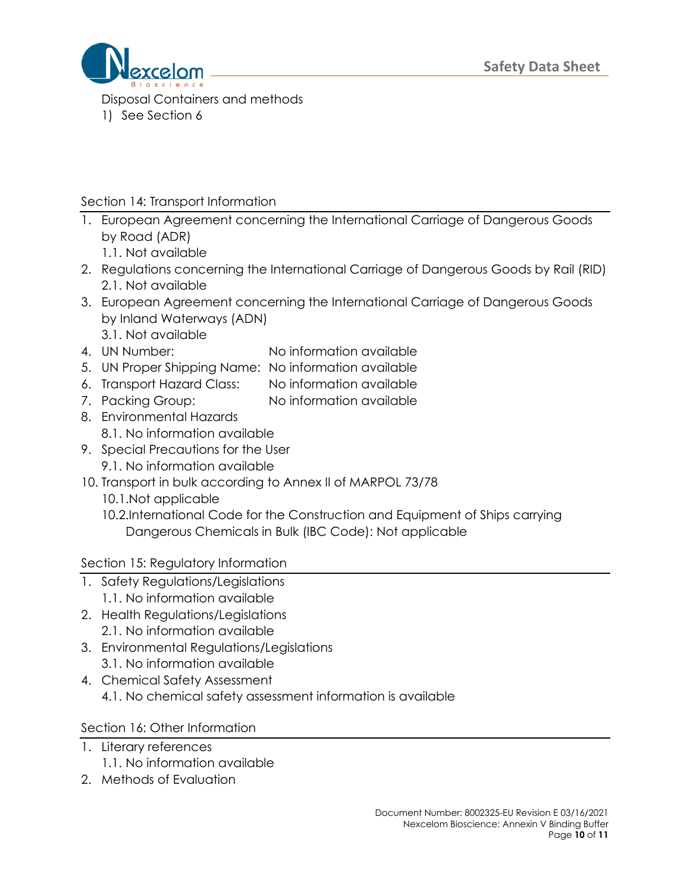

Disposal Containers and methods 1) See Section 6

## Section 14: Transport Information

- 1. European Agreement concerning the International Carriage of Dangerous Goods by Road (ADR)
	- 1.1. Not available
- 2. Regulations concerning the International Carriage of Dangerous Goods by Rail (RID) 2.1. Not available
- 3. European Agreement concerning the International Carriage of Dangerous Goods by Inland Waterways (ADN) 3.1. Not available
- 
- 4. UN Number: No information available
- 5. UN Proper Shipping Name: No information available
- 6. Transport Hazard Class: No information available
- 7. Packing Group: No information available
- 8. Environmental Hazards 8.1. No information available
- 9. Special Precautions for the User 9.1. No information available
- 10. Transport in bulk according to Annex II of MARPOL 73/78
	- 10.1.Not applicable
	- 10.2.International Code for the Construction and Equipment of Ships carrying Dangerous Chemicals in Bulk (IBC Code): Not applicable

Section 15: Regulatory Information

- 1. Safety Regulations/Legislations
	- 1.1. No information available
- 2. Health Regulations/Legislations 2.1. No information available
- 3. Environmental Regulations/Legislations
	- 3.1. No information available
- 4. Chemical Safety Assessment 4.1. No chemical safety assessment information is available

Section 16: Other Information

- 1. Literary references
	- 1.1. No information available
- 2. Methods of Evaluation